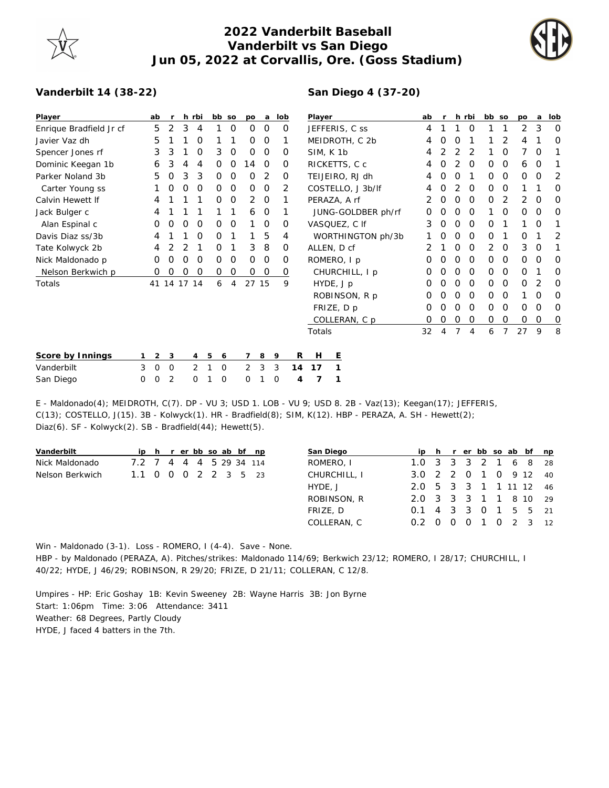## **2022 Vanderbilt Baseball Vanderbilt vs San Diego Jun 05, 2022 at Corvallis, Ore. (Goss Stadium)**

**San Diego 4 (37-20)**



## **Vanderbilt 14 (38-22)**

| Player                  | ab          |   |   | h rbi    | bb so |          | po       | <sub>a</sub>   | lob      | Player             | ab |   |   | h rbi    | bb so    |          | po | a        | lob |
|-------------------------|-------------|---|---|----------|-------|----------|----------|----------------|----------|--------------------|----|---|---|----------|----------|----------|----|----------|-----|
| Enrique Bradfield Jr cf | 5           | 2 | 3 | 4        |       | O        | 0        | 0              | 0        | JEFFERIS, C ss     | 4  |   |   | O        |          |          | 2  | 3        | O   |
| Javier Vaz dh           | 5           |   |   | $\Omega$ |       |          | $\Omega$ | 0              |          | MEIDROTH, C 2b     | 4  | Ο | O |          |          |          |    |          | O   |
| Spencer Jones rf        | 3           | 3 |   | O        | 3     | 0        | $\Omega$ | 0              | $\Omega$ | SIM, K 1b          | 4  |   |   | 2        |          | O        |    | $\Omega$ |     |
| Dominic Keegan 1b       | 6           | 3 |   | 4        | 0     | O        | 14       | $\Omega$       | O        | RICKETTS, C c      | 4  |   |   | $\Omega$ | $\Omega$ | $\Omega$ | 6  | $\Omega$ |     |
| Parker Noland 3b        | 5           | 0 | 3 | 3        | Ο     | O        | 0        | 2              | 0        | TEIJEIRO, RJ dh    | 4  | Ο |   |          | $\Omega$ | $\Omega$ | 0  | $\Omega$ | 2   |
| Carter Young ss         |             | 0 | O | O        | 0     | $\Omega$ | $\Omega$ | $\overline{0}$ | 2        | COSTELLO, J 3b/lf  | 4  | Ο | 2 | $\Omega$ | $\Omega$ | $\Omega$ |    |          | O   |
| Calvin Hewett If        | 4           |   |   |          | 0     | 0        | 2        | $\overline{0}$ |          | PERAZA, A rf       |    | 0 | 0 | 0        | $\Omega$ | 2        | 2  | $\circ$  | O   |
| Jack Bulger c           |             |   |   |          |       |          | 6        | $\Omega$       |          | JUNG-GOLDBER ph/rf | 0  | Ο | Ω | 0        |          | $\Omega$ | 0  | $\Omega$ |     |
| Alan Espinal c          | 0           | 0 | 0 | 0        | Ο     | 0        |          | 0              | 0        | VASQUEZ, C If      | 3  | Ο | Ο | 0        | $\Omega$ |          |    | $\Omega$ |     |
| Davis Diaz ss/3b        |             |   |   | $\Omega$ | 0     |          |          | 5              | 4        | WORTHINGTON ph/3b  |    | Ο | Ο | $\Omega$ | $\Omega$ |          | 0  |          | 2   |
| Tate Kolwyck 2b         |             |   |   |          | 0     |          | 3        | 8              | $\Omega$ | ALLEN, D cf        |    |   | O | 0        | 2        | $\Omega$ | 3  | $\Omega$ |     |
| Nick Maldonado p        | Ο           | O | Ο | O        | 0     | O        | $\Omega$ | $\Omega$       | $\Omega$ | ROMERO, I p        | Ο  |   | Ω | O        | $\Omega$ | $\Omega$ | 0  | $\Omega$ |     |
| Nelson Berkwich p       | O           | O | O | O        | Ο     | 0        | 0        | 0              | 0        | CHURCHILL, I p     |    |   | Ω | O        | $\Omega$ | $\Omega$ | 0  |          |     |
| Totals                  | 41 14 17 14 |   |   |          | 6     | 4        | 27 15    |                | 9        | HYDE, J p          | Ο  |   | Ω | O        | $\Omega$ | $\Omega$ | 0  |          | O   |
|                         |             |   |   |          |       |          |          |                |          | ROBINSON, R p      | Ο  | Ο | Ο | O        | $\Omega$ | $\Omega$ |    | O        | O   |
|                         |             |   |   |          |       |          |          |                |          | FRIZE, D p         | 0  | Ο | 0 | O        | $\Omega$ | $\Omega$ | 0  | $\Omega$ | ∩   |
|                         |             |   |   |          |       |          |          |                |          | COLLERAN, C p      | 0  | Ο | 0 | 0        | $\Omega$ | $\Omega$ | 0  | 0        | 0   |
|                         |             |   |   |          |       |          |          |                |          | Totals             | 32 | 4 | 7 | 4        | 6        | 7        | 27 | 9        | 8   |
|                         |             |   |   |          |       |          |          |                |          |                    |    |   |   |          |          |          |    |          |     |

| Score by Innings $1 \t2 \t3 \t4 \t5 \t6 \t7 \t8 \t9 \tR \tH \tE$ |  |                           |  |  |  |  |
|------------------------------------------------------------------|--|---------------------------|--|--|--|--|
| Vanderbilt                                                       |  | 3 0 0 2 1 0 2 3 3 14 17 1 |  |  |  |  |
| San Diego                                                        |  | 0 0 2 0 1 0 0 1 0 4 7 1   |  |  |  |  |

E - Maldonado(4); MEIDROTH, C(7). DP - VU 3; USD 1. LOB - VU 9; USD 8. 2B - Vaz(13); Keegan(17); JEFFERIS, C(13); COSTELLO, J(15). 3B - Kolwyck(1). HR - Bradfield(8); SIM, K(12). HBP - PERAZA, A. SH - Hewett(2); Diaz(6). SF - Kolwyck(2). SB - Bradfield(44); Hewett(5).

| Vanderbilt                                | ip h r er bb so ab bf np |  |  |  |  | San Diego    |                        |  |  |  | ip h r er bb so ab bf np |  |
|-------------------------------------------|--------------------------|--|--|--|--|--------------|------------------------|--|--|--|--------------------------|--|
| Nick Maldonado<br>7.2 7 4 4 4 5 29 34 114 |                          |  |  |  |  | ROMERO, I    | 1.0 3 3 3 2 1 6 8 28   |  |  |  |                          |  |
| 1.1 0 0 0 2 2 3 5 23<br>Nelson Berkwich   |                          |  |  |  |  | CHURCHILL, I | 3.0 2 2 0 1 0 9 12 40  |  |  |  |                          |  |
|                                           |                          |  |  |  |  | HYDE, J      | 2.0 5 3 3 1 1 11 12 46 |  |  |  |                          |  |
|                                           |                          |  |  |  |  | ROBINSON, R  | 2.0 3 3 3 1 1 8 10 29  |  |  |  |                          |  |
|                                           |                          |  |  |  |  | FRIZE, D     | 0.1 4 3 3 0            |  |  |  | 1 5 5 21                 |  |
|                                           |                          |  |  |  |  | COLLERAN, C  | 0.2 0 0 0              |  |  |  | 1 0 2 3 12               |  |

Win - Maldonado (3-1). Loss - ROMERO, I (4-4). Save - None. HBP - by Maldonado (PERAZA, A). Pitches/strikes: Maldonado 114/69; Berkwich 23/12; ROMERO, I 28/17; CHURCHILL, I 40/22; HYDE, J 46/29; ROBINSON, R 29/20; FRIZE, D 21/11; COLLERAN, C 12/8.

Umpires - HP: Eric Goshay 1B: Kevin Sweeney 2B: Wayne Harris 3B: Jon Byrne Start: 1:06pm Time: 3:06 Attendance: 3411 Weather: 68 Degrees, Partly Cloudy HYDE, J faced 4 batters in the 7th.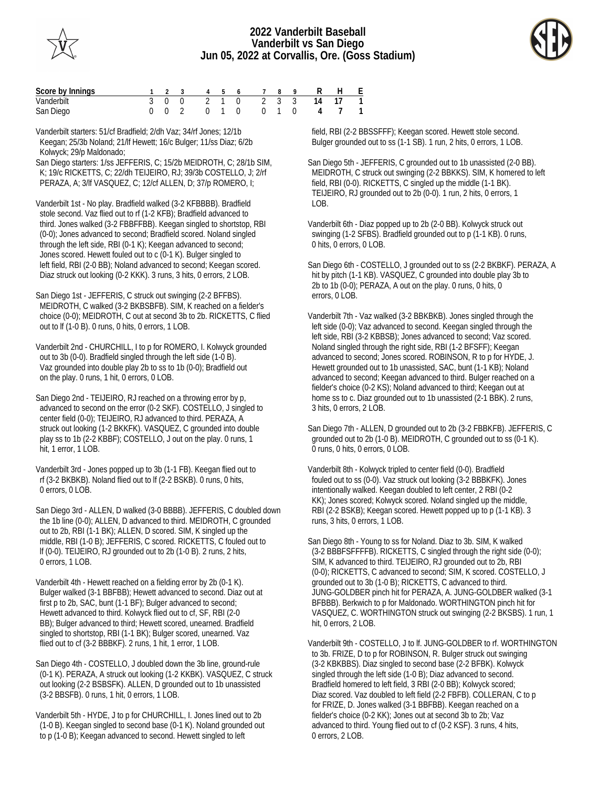



| Score by Innings |  |  |  |  | 1 2 3 4 5 6 7 8 9 R H E   |  |
|------------------|--|--|--|--|---------------------------|--|
| Vanderbilt       |  |  |  |  | 3 0 0 2 1 0 2 3 3 14 17 1 |  |
| San Diego        |  |  |  |  | 0 0 2 0 1 0 0 1 0 4 7 1   |  |

Vanderbilt starters: 51/cf Bradfield; 2/dh Vaz; 34/rf Jones; 12/1b Keegan; 25/3b Noland; 21/lf Hewett; 16/c Bulger; 11/ss Diaz; 6/2b Kolwyck; 29/p Maldonado;

San Diego starters: 1/ss JEFFERIS, C; 15/2b MEIDROTH, C; 28/1b SIM, K; 19/c RICKETTS, C; 22/dh TEIJEIRO, RJ; 39/3b COSTELLO, J; 2/rf PERAZA, A; 3/lf VASQUEZ, C; 12/cf ALLEN, D; 37/p ROMERO, I;

Vanderbilt 1st - No play. Bradfield walked (3-2 KFBBBB). Bradfield stole second. Vaz flied out to rf (1-2 KFB); Bradfield advanced to third. Jones walked (3-2 FBBFFBB). Keegan singled to shortstop, RBI (0-0); Jones advanced to second; Bradfield scored. Noland singled through the left side, RBI (0-1 K); Keegan advanced to second; Jones scored. Hewett fouled out to c (0-1 K). Bulger singled to left field, RBI (2-0 BB); Noland advanced to second; Keegan scored. Diaz struck out looking (0-2 KKK). 3 runs, 3 hits, 0 errors, 2 LOB.

San Diego 1st - JEFFERIS, C struck out swinging (2-2 BFFBS). MEIDROTH, C walked (3-2 BKBSBFB). SIM, K reached on a fielder's choice (0-0); MEIDROTH, C out at second 3b to 2b. RICKETTS, C flied out to lf (1-0 B). 0 runs, 0 hits, 0 errors, 1 LOB.

Vanderbilt 2nd - CHURCHILL, I to p for ROMERO, I. Kolwyck grounded out to 3b (0-0). Bradfield singled through the left side (1-0 B). Vaz grounded into double play 2b to ss to 1b (0-0); Bradfield out on the play. 0 runs, 1 hit, 0 errors, 0 LOB.

San Diego 2nd - TEIJEIRO, RJ reached on a throwing error by p, advanced to second on the error (0-2 SKF). COSTELLO, J singled to center field (0-0); TEIJEIRO, RJ advanced to third. PERAZA, A struck out looking (1-2 BKKFK). VASQUEZ, C grounded into double play ss to 1b (2-2 KBBF); COSTELLO, J out on the play. 0 runs, 1 hit, 1 error, 1 LOB.

Vanderbilt 3rd - Jones popped up to 3b (1-1 FB). Keegan flied out to rf (3-2 BKBKB). Noland flied out to lf (2-2 BSKB). 0 runs, 0 hits, 0 errors, 0 LOB.

San Diego 3rd - ALLEN, D walked (3-0 BBBB). JEFFERIS, C doubled down the 1b line (0-0); ALLEN, D advanced to third. MEIDROTH, C grounded out to 2b, RBI (1-1 BK); ALLEN, D scored. SIM, K singled up the middle, RBI (1-0 B); JEFFERIS, C scored. RICKETTS, C fouled out to lf (0-0). TEIJEIRO, RJ grounded out to 2b (1-0 B). 2 runs, 2 hits, 0 errors, 1 LOB.

Vanderbilt 4th - Hewett reached on a fielding error by 2b (0-1 K). Bulger walked (3-1 BBFBB); Hewett advanced to second. Diaz out at first p to 2b, SAC, bunt (1-1 BF); Bulger advanced to second; Hewett advanced to third. Kolwyck flied out to cf, SF, RBI (2-0 BB); Bulger advanced to third; Hewett scored, unearned. Bradfield singled to shortstop, RBI (1-1 BK); Bulger scored, unearned. Vaz flied out to cf (3-2 BBBKF). 2 runs, 1 hit, 1 error, 1 LOB.

San Diego 4th - COSTELLO, J doubled down the 3b line, ground-rule (0-1 K). PERAZA, A struck out looking (1-2 KKBK). VASQUEZ, C struck out looking (2-2 BSBSFK). ALLEN, D grounded out to 1b unassisted (3-2 BBSFB). 0 runs, 1 hit, 0 errors, 1 LOB.

Vanderbilt 5th - HYDE, J to p for CHURCHILL, I. Jones lined out to 2b (1-0 B). Keegan singled to second base (0-1 K). Noland grounded out to p (1-0 B); Keegan advanced to second. Hewett singled to left

 field, RBI (2-2 BBSSFFF); Keegan scored. Hewett stole second. Bulger grounded out to ss (1-1 SB). 1 run, 2 hits, 0 errors, 1 LOB.

San Diego 5th - JEFFERIS, C grounded out to 1b unassisted (2-0 BB). MEIDROTH, C struck out swinging (2-2 BBKKS). SIM, K homered to left field, RBI (0-0). RICKETTS, C singled up the middle (1-1 BK). TEIJEIRO, RJ grounded out to 2b (0-0). 1 run, 2 hits, 0 errors, 1 LOB.

Vanderbilt 6th - Diaz popped up to 2b (2-0 BB). Kolwyck struck out swinging (1-2 SFBS). Bradfield grounded out to p (1-1 KB). 0 runs, 0 hits, 0 errors, 0 LOB.

San Diego 6th - COSTELLO, J grounded out to ss (2-2 BKBKF). PERAZA, A hit by pitch (1-1 KB). VASQUEZ, C grounded into double play 3b to 2b to 1b (0-0); PERAZA, A out on the play. 0 runs, 0 hits, 0 errors, 0 LOB.

Vanderbilt 7th - Vaz walked (3-2 BBKBKB). Jones singled through the left side (0-0); Vaz advanced to second. Keegan singled through the left side, RBI (3-2 KBBSB); Jones advanced to second; Vaz scored. Noland singled through the right side, RBI (1-2 BFSFF); Keegan advanced to second; Jones scored. ROBINSON, R to p for HYDE, J. Hewett grounded out to 1b unassisted, SAC, bunt (1-1 KB); Noland advanced to second; Keegan advanced to third. Bulger reached on a fielder's choice (0-2 KS); Noland advanced to third; Keegan out at home ss to c. Diaz grounded out to 1b unassisted (2-1 BBK). 2 runs, 3 hits, 0 errors, 2 LOB.

San Diego 7th - ALLEN, D grounded out to 2b (3-2 FBBKFB). JEFFERIS, C grounded out to 2b (1-0 B). MEIDROTH, C grounded out to ss (0-1 K). 0 runs, 0 hits, 0 errors, 0 LOB.

Vanderbilt 8th - Kolwyck tripled to center field (0-0). Bradfield fouled out to ss (0-0). Vaz struck out looking (3-2 BBBKFK). Jones intentionally walked. Keegan doubled to left center, 2 RBI (0-2 KK); Jones scored; Kolwyck scored. Noland singled up the middle, RBI (2-2 BSKB); Keegan scored. Hewett popped up to p (1-1 KB). 3 runs, 3 hits, 0 errors, 1 LOB.

San Diego 8th - Young to ss for Noland. Diaz to 3b. SIM, K walked (3-2 BBBFSFFFFB). RICKETTS, C singled through the right side (0-0); SIM, K advanced to third. TEIJEIRO, RJ grounded out to 2b, RBI (0-0); RICKETTS, C advanced to second; SIM, K scored. COSTELLO, J grounded out to 3b (1-0 B); RICKETTS, C advanced to third. JUNG-GOLDBER pinch hit for PERAZA, A. JUNG-GOLDBER walked (3-1 BFBBB). Berkwich to p for Maldonado. WORTHINGTON pinch hit for VASQUEZ, C. WORTHINGTON struck out swinging (2-2 BKSBS). 1 run, 1 hit, 0 errors, 2 LOB.

Vanderbilt 9th - COSTELLO, J to lf. JUNG-GOLDBER to rf. WORTHINGTON to 3b. FRIZE, D to p for ROBINSON, R. Bulger struck out swinging (3-2 KBKBBS). Diaz singled to second base (2-2 BFBK). Kolwyck singled through the left side (1-0 B); Diaz advanced to second. Bradfield homered to left field, 3 RBI (2-0 BB); Kolwyck scored; Diaz scored. Vaz doubled to left field (2-2 FBFB). COLLERAN, C to p for FRIZE, D. Jones walked (3-1 BBFBB). Keegan reached on a fielder's choice (0-2 KK); Jones out at second 3b to 2b; Vaz advanced to third. Young flied out to cf (0-2 KSF). 3 runs, 4 hits, 0 errors, 2 LOB.